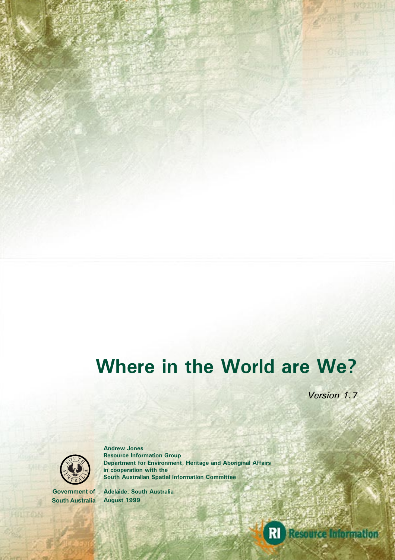# **Where in the World are We?**

*Version 1.7*



**Andrew Jones Resource Information Group Department for Environment, Heritage and Aboriginal Affairs in cooperation with the South Australian Spatial Information Committee**

**Government of South Australia** **Adelaide, South Australia August 1999**

**RI** Resource Information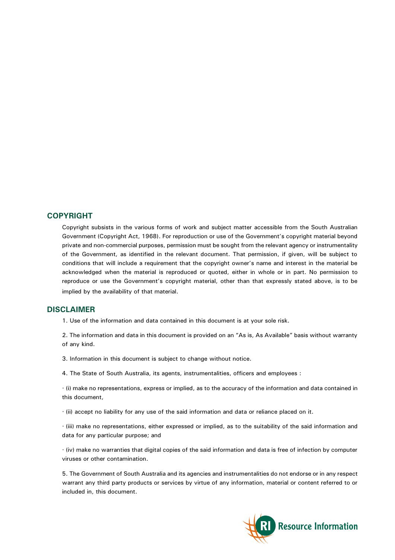#### **COPYRIGHT**

Copyright subsists in the various forms of work and subject matter accessible from the South Australian Government (Copyright Act, 1968). For reproduction or use of the Government's copyright material beyond private and non-commercial purposes, permission must be sought from the relevant agency or instrumentality of the Government, as identified in the relevant document. That permission, if given, will be subject to conditions that will include a requirement that the copyright owner's name and interest in the material be acknowledged when the material is reproduced or quoted, either in whole or in part. No permission to reproduce or use the Government's copyright material, other than that expressly stated above, is to be implied by the availability of that material.

#### **DISCLAIMER**

1. Use of the information and data contained in this document is at your sole risk.

2. The information and data in this document is provided on an "As is, As Available" basis without warranty of any kind.

3. Information in this document is subject to change without notice.

4. The State of South Australia, its agents, instrumentalities, officers and employees :

· (i) make no representations, express or implied, as to the accuracy of the information and data contained in this document,

· (ii) accept no liability for any use of the said information and data or reliance placed on it.

· (iii) make no representations, either expressed or implied, as to the suitability of the said information and data for any particular purpose; and

· (iv) make no warranties that digital copies of the said information and data is free of infection by computer viruses or other contamination.

5. The Government of South Australia and its agencies and instrumentalities do not endorse or in any respect warrant any third party products or services by virtue of any information, material or content referred to or included in, this document.

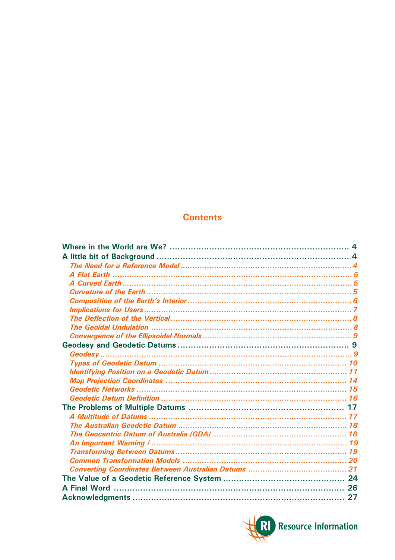# **Contents**

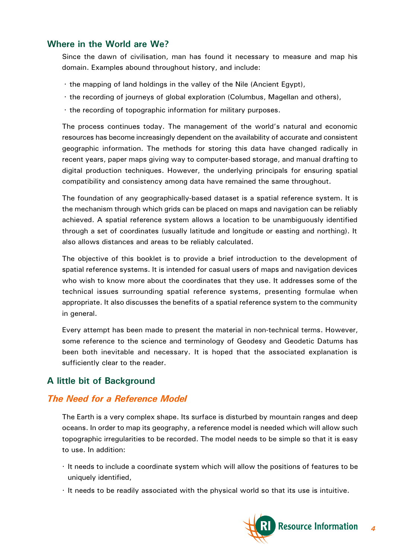#### <span id="page-3-0"></span>**Where in the World are We?**

Since the dawn of civilisation, man has found it necessary to measure and map his domain. Examples abound throughout history, and include:

- · the mapping of land holdings in the valley of the Nile (Ancient Egypt),
- · the recording of journeys of global exploration (Columbus, Magellan and others),
- · the recording of topographic information for military purposes.

The process continues today. The management of the world's natural and economic resources has become increasingly dependent on the availability of accurate and consistent geographic information. The methods for storing this data have changed radically in recent years, paper maps giving way to computer-based storage, and manual drafting to digital production techniques. However, the underlying principals for ensuring spatial compatibility and consistency among data have remained the same throughout.

The foundation of any geographically-based dataset is a spatial reference system. It is the mechanism through which grids can be placed on maps and navigation can be reliably achieved. A spatial reference system allows a location to be unambiguously identified through a set of coordinates (usually latitude and longitude or easting and northing). It also allows distances and areas to be reliably calculated.

The objective of this booklet is to provide a brief introduction to the development of spatial reference systems. It is intended for casual users of maps and navigation devices who wish to know more about the coordinates that they use. It addresses some of the technical issues surrounding spatial reference systems, presenting formulae when appropriate. It also discusses the benefits of a spatial reference system to the community in general.

Every attempt has been made to present the material in non-technical terms. However, some reference to the science and terminology of Geodesy and Geodetic Datums has been both inevitable and necessary. It is hoped that the associated explanation is sufficiently clear to the reader.

## **A little bit of Background**

## *The Need for a Reference Model*

The Earth is a very complex shape. Its surface is disturbed by mountain ranges and deep oceans. In order to map its geography, a reference model is needed which will allow such topographic irregularities to be recorded. The model needs to be simple so that it is easy to use. In addition:

- · It needs to include a coordinate system which will allow the positions of features to be uniquely identified,
- · It needs to be readily associated with the physical world so that its use is intuitive.

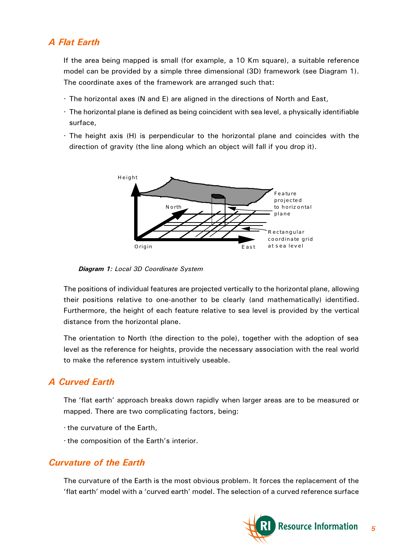# <span id="page-4-0"></span>*A Flat Earth*

If the area being mapped is small (for example, a 10 Km square), a suitable reference model can be provided by a simple three dimensional (3D) framework (see Diagram 1). The coordinate axes of the framework are arranged such that:

- · The horizontal axes (N and E) are aligned in the directions of North and East,
- · The horizontal plane is defined as being coincident with sea level, a physically identifiable surface,
- · The height axis (H) is perpendicular to the horizontal plane and coincides with the direction of gravity (the line along which an object will fall if you drop it).



*Diagram 1: Local 3D Coordinate System*

The positions of individual features are projected vertically to the horizontal plane, allowing their positions relative to one-another to be clearly (and mathematically) identified. Furthermore, the height of each feature relative to sea level is provided by the vertical distance from the horizontal plane.

The orientation to North (the direction to the pole), together with the adoption of sea level as the reference for heights, provide the necessary association with the real world to make the reference system intuitively useable.

# *A Curved Earth*

The 'flat earth' approach breaks down rapidly when larger areas are to be measured or mapped. There are two complicating factors, being:

- · the curvature of the Earth,
- $\cdot$  the composition of the Earth's interior.

# *Curvature of the Earth*

The curvature of the Earth is the most obvious problem. It forces the replacement of the 'flat earth' model with a 'curved earth' model. The selection of a curved reference surface

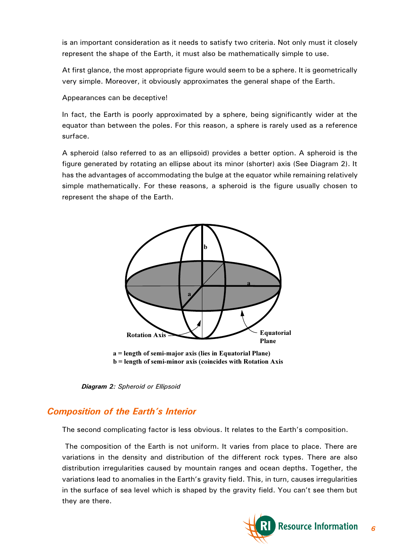<span id="page-5-0"></span>is an important consideration as it needs to satisfy two criteria. Not only must it closely represent the shape of the Earth, it must also be mathematically simple to use.

At first glance, the most appropriate figure would seem to be a sphere. It is geometrically very simple. Moreover, it obviously approximates the general shape of the Earth.

Appearances can be deceptive!

In fact, the Earth is poorly approximated by a sphere, being significantly wider at the equator than between the poles. For this reason, a sphere is rarely used as a reference surface.

A spheroid (also referred to as an ellipsoid) provides a better option. A spheroid is the figure generated by rotating an ellipse about its minor (shorter) axis (See Diagram 2). It has the advantages of accommodating the bulge at the equator while remaining relatively simple mathematically. For these reasons, a spheroid is the figure usually chosen to represent the shape of the Earth.





## **Composition of the Earth's Interior**

The second complicating factor is less obvious. It relates to the Earth's composition.

 The composition of the Earth is not uniform. It varies from place to place. There are variations in the density and distribution of the different rock types. There are also distribution irregularities caused by mountain ranges and ocean depths. Together, the variations lead to anomalies in the Earth's gravity field. This, in turn, causes irregularities in the surface of sea level which is shaped by the gravity field. You can't see them but they are there.

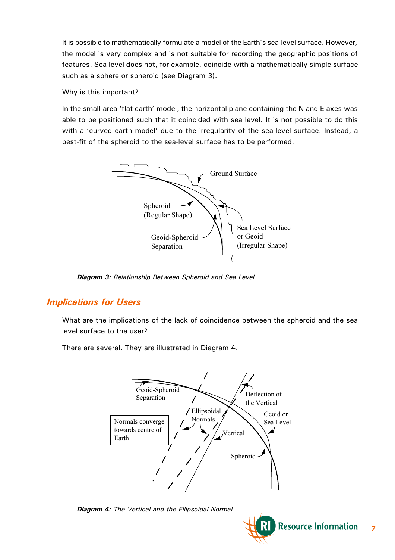<span id="page-6-0"></span>It is possible to mathematically formulate a model of the Earth's sea-level surface. However, the model is very complex and is not suitable for recording the geographic positions of features. Sea level does not, for example, coincide with a mathematically simple surface such as a sphere or spheroid (see Diagram 3).

Why is this important?

In the small-area 'flat earth' model, the horizontal plane containing the N and E axes was able to be positioned such that it coincided with sea level. It is not possible to do this with a 'curved earth model' due to the irregularity of the sea-level surface. Instead, a best-fit of the spheroid to the sea-level surface has to be performed.



*Diagram 3: Relationship Between Spheroid and Sea Level*

# *Implications for Users*

What are the implications of the lack of coincidence between the spheroid and the sea level surface to the user?

There are several. They are illustrated in Diagram 4.



*Diagram 4: The Vertical and the Ellipsoidal Normal*

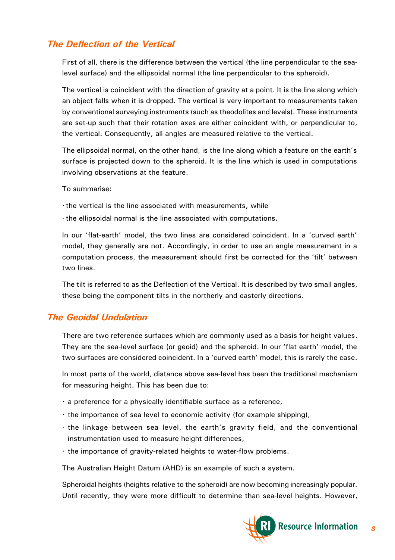## <span id="page-7-0"></span>*The Deflection of the Vertical*

First of all, there is the difference between the vertical (the line perpendicular to the sealevel surface) and the ellipsoidal normal (the line perpendicular to the spheroid).

The vertical is coincident with the direction of gravity at a point. It is the line along which an object falls when it is dropped. The vertical is very important to measurements taken by conventional surveying instruments (such as theodolites and levels). These instruments are set-up such that their rotation axes are either coincident with, or perpendicular to, the vertical. Consequently, all angles are measured relative to the vertical.

The ellipsoidal normal, on the other hand, is the line along which a feature on the earth's surface is projected down to the spheroid. It is the line which is used in computations involving observations at the feature.

To summarise:

- · the vertical is the line associated with measurements, while
- · the ellipsoidal normal is the line associated with computations.

In our 'flat-earth' model, the two lines are considered coincident. In a 'curved earth' model, they generally are not. Accordingly, in order to use an angle measurement in a computation process, the measurement should first be corrected for the 'tilt' between two lines.

The tilt is referred to as the Deflection of the Vertical. It is described by two small angles, these being the component tilts in the northerly and easterly directions.

#### *The Geoidal Undulation*

There are two reference surfaces which are commonly used as a basis for height values. They are the sea-level surface (or geoid) and the spheroid. In our 'flat earth' model, the two surfaces are considered coincident. In a 'curved earth' model, this is rarely the case.

In most parts of the world, distance above sea-level has been the traditional mechanism for measuring height. This has been due to:

- · a preference for a physically identifiable surface as a reference,
- · the importance of sea level to economic activity (for example shipping),
- $\cdot$  the linkage between sea level, the earth's gravity field, and the conventional instrumentation used to measure height differences,
- · the importance of gravity-related heights to water-flow problems.

The Australian Height Datum (AHD) is an example of such a system.

Spheroidal heights (heights relative to the spheroid) are now becoming increasingly popular. Until recently, they were more difficult to determine than sea-level heights. However,

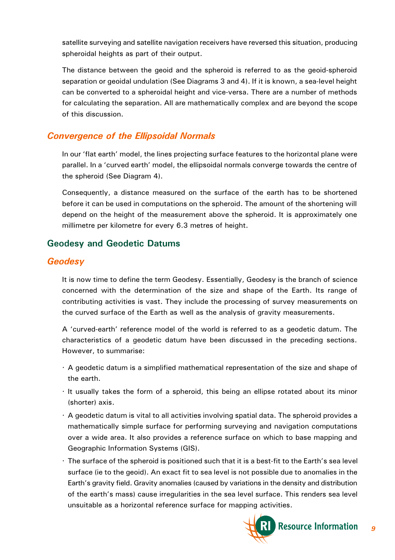<span id="page-8-0"></span>satellite surveying and satellite navigation receivers have reversed this situation, producing spheroidal heights as part of their output.

The distance between the geoid and the spheroid is referred to as the geoid-spheroid separation or geoidal undulation (See Diagrams 3 and 4). If it is known, a sea-level height can be converted to a spheroidal height and vice-versa. There are a number of methods for calculating the separation. All are mathematically complex and are beyond the scope of this discussion.

## *Convergence of the Ellipsoidal Normals*

In our 'flat earth' model, the lines projecting surface features to the horizontal plane were parallel. In a 'curved earth' model, the ellipsoidal normals converge towards the centre of the spheroid (See Diagram 4).

Consequently, a distance measured on the surface of the earth has to be shortened before it can be used in computations on the spheroid. The amount of the shortening will depend on the height of the measurement above the spheroid. It is approximately one millimetre per kilometre for every 6.3 metres of height.

## **Geodesy and Geodetic Datums**

#### *Geodesy*

It is now time to define the term Geodesy. Essentially, Geodesy is the branch of science concerned with the determination of the size and shape of the Earth. Its range of contributing activities is vast. They include the processing of survey measurements on the curved surface of the Earth as well as the analysis of gravity measurements.

A 'curved-earth' reference model of the world is referred to as a geodetic datum. The characteristics of a geodetic datum have been discussed in the preceding sections. However, to summarise:

- · A geodetic datum is a simplified mathematical representation of the size and shape of the earth.
- · It usually takes the form of a spheroid, this being an ellipse rotated about its minor (shorter) axis.
- · A geodetic datum is vital to all activities involving spatial data. The spheroid provides a mathematically simple surface for performing surveying and navigation computations over a wide area. It also provides a reference surface on which to base mapping and Geographic Information Systems (GIS).
- $\cdot$  The surface of the spheroid is positioned such that it is a best-fit to the Earth's sea level surface (ie to the geoid). An exact fit to sea level is not possible due to anomalies in the Earth's gravity field. Gravity anomalies (caused by variations in the density and distribution of the earth's mass) cause irregularities in the sea level surface. This renders sea level unsuitable as a horizontal reference surface for mapping activities.

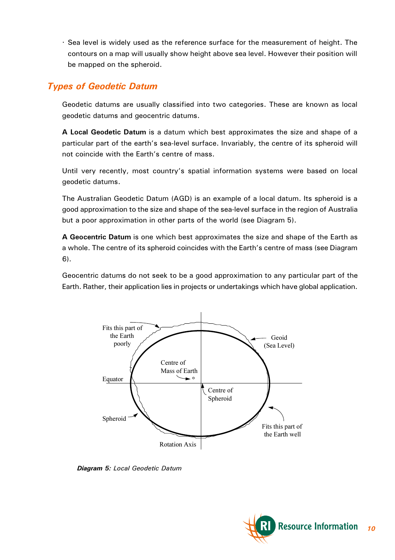<span id="page-9-0"></span>· Sea level is widely used as the reference surface for the measurement of height. The contours on a map will usually show height above sea level. However their position will be mapped on the spheroid.

## *Types of Geodetic Datum*

Geodetic datums are usually classified into two categories. These are known as local geodetic datums and geocentric datums.

**A Local Geodetic Datum** is a datum which best approximates the size and shape of a particular part of the earth's sea-level surface. Invariably, the centre of its spheroid will not coincide with the Earth's centre of mass.

Until very recently, most country's spatial information systems were based on local geodetic datums.

The Australian Geodetic Datum (AGD) is an example of a local datum. Its spheroid is a good approximation to the size and shape of the sea-level surface in the region of Australia but a poor approximation in other parts of the world (see Diagram 5).

**A Geocentric Datum** is one which best approximates the size and shape of the Earth as a whole. The centre of its spheroid coincides with the Earth's centre of mass (see Diagram 6).

Geocentric datums do not seek to be a good approximation to any particular part of the Earth. Rather, their application lies in projects or undertakings which have global application.



*Diagram 5: Local Geodetic Datum*

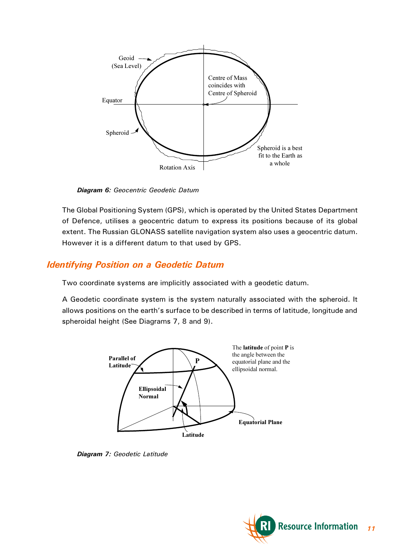<span id="page-10-0"></span>

*Diagram 6: Geocentric Geodetic Datum*

The Global Positioning System (GPS), which is operated by the United States Department of Defence, utilises a geocentric datum to express its positions because of its global extent. The Russian GLONASS satellite navigation system also uses a geocentric datum. However it is a different datum to that used by GPS.

## *Identifying Position on a Geodetic Datum*

Two coordinate systems are implicitly associated with a geodetic datum.

A Geodetic coordinate system is the system naturally associated with the spheroid. It allows positions on the earth's surface to be described in terms of latitude, longitude and spheroidal height (See Diagrams 7, 8 and 9).



*Diagram 7: Geodetic Latitude*

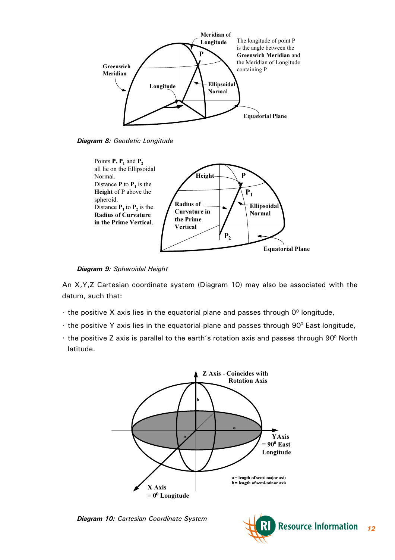

*Diagram 8: Geodetic Longitude*



*Diagram 9: Spheroidal Height*

An X,Y,Z Cartesian coordinate system (Diagram 10) may also be associated with the datum, such that:

- $\cdot$  the positive X axis lies in the equatorial plane and passes through  $0^{\circ}$  longitude,
- $\cdot$  the positive Y axis lies in the equatorial plane and passes through 90 $\degree$  East longitude,
- $\cdot$  the positive Z axis is parallel to the earth's rotation axis and passes through 90 $^{\circ}$  North latitude.



*Diagram 10: Cartesian Coordinate System*

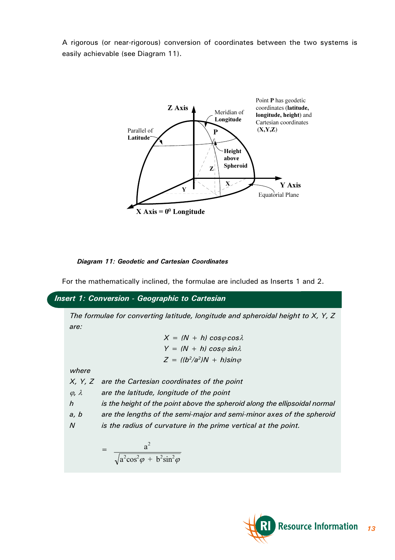A rigorous (or near-rigorous) conversion of coordinates between the two systems is easily achievable (see Diagram 11).



#### *Diagram 11: Geodetic and Cartesian Coordinates*

For the mathematically inclined, the formulae are included as Inserts 1 and 2.

*Insert 1: Conversion - Geographic to Cartesian*

*The formulae for converting latitude, longitude and spheroidal height to X, Y, Z are:*

> $X = (N + h)\cos\varphi\cos\lambda$  $Y = (N + h) \cos \varphi \sin \lambda$  $Z = ((b^2/a^2)N + h)sin\varphi$

*where*

*X, Y, Z are the Cartesian coordinates of the point*

j*,* l *are the latitude, longitude of the point*

*h is the height of the point above the spheroid along the ellipsoidal normal*

*a, b are the lengths of the semi-major and semi-minor axes of the spheroid*

*N is the radius of curvature in the prime vertical at the point.*

$$
= \frac{a^2}{\sqrt{a^2 \cos^2 \varphi + b^2 \sin^2 \varphi}}
$$

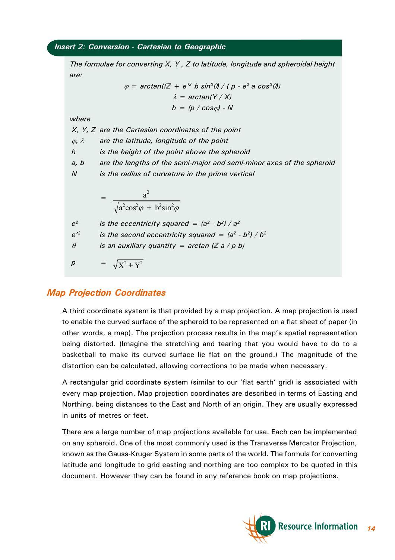#### <span id="page-13-0"></span>*Insert 2: Conversion - Cartesian to Geographic*

*The formulae for converting X, Y , Z to latitude, longitude and spheroidal height are:*

$$
\varphi = \arctan((Z + e^2 \ b \ sin^3 \theta) / (p - e^2 \ a \ cos^3 \theta))
$$

$$
\lambda = \arctan(Y / X)
$$

$$
h = (p / cos \varphi) - N
$$

*where*

*X, Y, Z are the Cartesian coordinates of the point*

j*,* l *are the latitude, longitude of the point*

*h is the height of the point above the spheroid*

*a, b are the lengths of the semi-major and semi-minor axes of the spheroid*

*N is the radius of curvature in the prime vertical*

$$
= \frac{a^2}{\sqrt{a^2 \cos^2 \varphi + b^2 \sin^2 \varphi}}
$$

 $e^2$  *is the eccentricity squared =*  $(a^2 - b^2) / a^2$ 

 $e^{i2}$  *is the second eccentricity squared =*  $(a^2 - b^2) / b^2$ 

 $\theta$  *is an auxiliary quantity = arctan (Z a / p b)* 

$$
\rho = \sqrt{X^2 + Y^2}
$$

#### *Map Projection Coordinates*

A third coordinate system is that provided by a map projection. A map projection is used to enable the curved surface of the spheroid to be represented on a flat sheet of paper (in other words, a map). The projection process results in the map's spatial representation being distorted. (Imagine the stretching and tearing that you would have to do to a basketball to make its curved surface lie flat on the ground.) The magnitude of the distortion can be calculated, allowing corrections to be made when necessary.

A rectangular grid coordinate system (similar to our 'flat earth' grid) is associated with every map projection. Map projection coordinates are described in terms of Easting and Northing, being distances to the East and North of an origin. They are usually expressed in units of metres or feet.

There are a large number of map projections available for use. Each can be implemented on any spheroid. One of the most commonly used is the Transverse Mercator Projection, known as the Gauss-Kruger System in some parts of the world. The formula for converting latitude and longitude to grid easting and northing are too complex to be quoted in this document. However they can be found in any reference book on map projections.

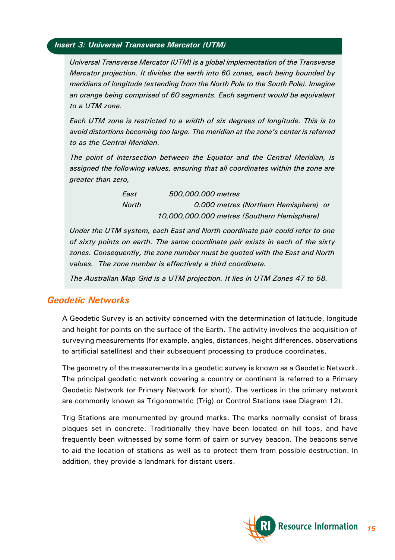#### <span id="page-14-0"></span>*Insert 3: Universal Transverse Mercator (UTM)*

*Universal Transverse Mercator (UTM) is a global implementation of the Transverse Mercator projection. It divides the earth into 60 zones, each being bounded by meridians of longitude (extending from the North Pole to the South Pole). Imagine an orange being comprised of 60 segments. Each segment would be equivalent to a UTM zone.*

*Each UTM zone is restricted to a width of six degrees of longitude. This is to avoid distortions becoming too large. The meridian at the zone's center is referred to as the Central Meridian.*

*The point of intersection between the Equator and the Central Meridian, is assigned the following values, ensuring that all coordinates within the zone are greater than zero,*

> *East 500,000.000 metres North 0.000 metres (Northern Hemisphere) or 10,000,000.000 metres (Southern Hemisphere)*

*Under the UTM system, each East and North coordinate pair could refer to one of sixty points on earth. The same coordinate pair exists in each of the sixty zones. Consequently, the zone number must be quoted with the East and North values. The zone number is effectively a third coordinate.*

*The Australian Map Grid is a UTM projection. It lies in UTM Zones 47 to 58.*

## *Geodetic Networks*

A Geodetic Survey is an activity concerned with the determination of latitude, longitude and height for points on the surface of the Earth. The activity involves the acquisition of surveying measurements (for example, angles, distances, height differences, observations to artificial satellites) and their subsequent processing to produce coordinates.

The geometry of the measurements in a geodetic survey is known as a Geodetic Network. The principal geodetic network covering a country or continent is referred to a Primary Geodetic Network (or Primary Network for short). The vertices in the primary network are commonly known as Trigonometric (Trig) or Control Stations (see Diagram 12).

Trig Stations are monumented by ground marks. The marks normally consist of brass plaques set in concrete. Traditionally they have been located on hill tops, and have frequently been witnessed by some form of cairn or survey beacon. The beacons serve to aid the location of stations as well as to protect them from possible destruction. In addition, they provide a landmark for distant users.

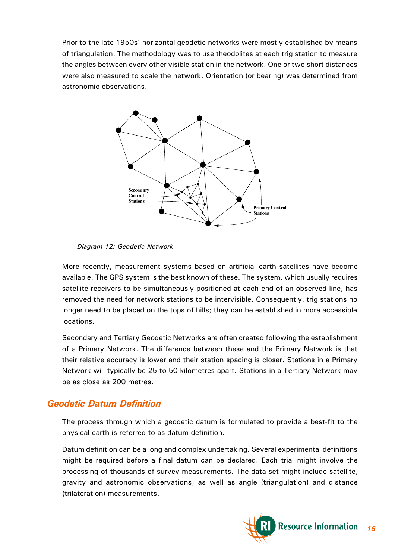<span id="page-15-0"></span>Prior to the late 1950s' horizontal geodetic networks were mostly established by means of triangulation. The methodology was to use theodolites at each trig station to measure the angles between every other visible station in the network. One or two short distances were also measured to scale the network. Orientation (or bearing) was determined from astronomic observations.



*Diagram 12: Geodetic Network*

More recently, measurement systems based on artificial earth satellites have become available. The GPS system is the best known of these. The system, which usually requires satellite receivers to be simultaneously positioned at each end of an observed line, has removed the need for network stations to be intervisible. Consequently, trig stations no longer need to be placed on the tops of hills; they can be established in more accessible locations.

Secondary and Tertiary Geodetic Networks are often created following the establishment of a Primary Network. The difference between these and the Primary Network is that their relative accuracy is lower and their station spacing is closer. Stations in a Primary Network will typically be 25 to 50 kilometres apart. Stations in a Tertiary Network may be as close as 200 metres.

## *Geodetic Datum Definition*

The process through which a geodetic datum is formulated to provide a best-fit to the physical earth is referred to as datum definition.

Datum definition can be a long and complex undertaking. Several experimental definitions might be required before a final datum can be declared. Each trial might involve the processing of thousands of survey measurements. The data set might include satellite, gravity and astronomic observations, as well as angle (triangulation) and distance (trilateration) measurements.

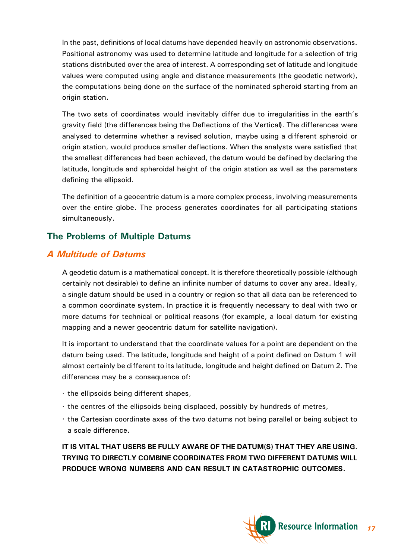<span id="page-16-0"></span>In the past, definitions of local datums have depended heavily on astronomic observations. Positional astronomy was used to determine latitude and longitude for a selection of trig stations distributed over the area of interest. A corresponding set of latitude and longitude values were computed using angle and distance measurements (the geodetic network), the computations being done on the surface of the nominated spheroid starting from an origin station.

The two sets of coordinates would inevitably differ due to irregularities in the earth's gravity field (the differences being the Deflections of the Vertical**)**. The differences were analysed to determine whether a revised solution, maybe using a different spheroid or origin station, would produce smaller deflections. When the analysts were satisfied that the smallest differences had been achieved, the datum would be defined by declaring the latitude, longitude and spheroidal height of the origin station as well as the parameters defining the ellipsoid.

The definition of a geocentric datum is a more complex process, involving measurements over the entire globe. The process generates coordinates for all participating stations simultaneously.

## **The Problems of Multiple Datums**

# *A Multitude of Datums*

A geodetic datum is a mathematical concept. It is therefore theoretically possible (although certainly not desirable) to define an infinite number of datums to cover any area. Ideally, a single datum should be used in a country or region so that all data can be referenced to a common coordinate system. In practice it is frequently necessary to deal with two or more datums for technical or political reasons (for example, a local datum for existing mapping and a newer geocentric datum for satellite navigation).

It is important to understand that the coordinate values for a point are dependent on the datum being used. The latitude, longitude and height of a point defined on Datum 1 will almost certainly be different to its latitude, longitude and height defined on Datum 2. The differences may be a consequence of:

- · the ellipsoids being different shapes,
- · the centres of the ellipsoids being displaced, possibly by hundreds of metres,
- · the Cartesian coordinate axes of the two datums not being parallel or being subject to a scale difference.

**IT IS VITAL THAT USERS BE FULLY AWARE OF THE DATUM(S) THAT THEY ARE USING. TRYING TO DIRECTLY COMBINE COORDINATES FROM TWO DIFFERENT DATUMS WILL PRODUCE WRONG NUMBERS AND CAN RESULT IN CATASTROPHIC OUTCOMES.**

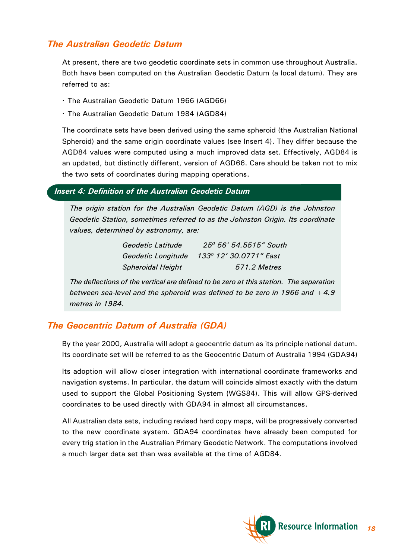## <span id="page-17-0"></span>*The Australian Geodetic Datum*

At present, there are two geodetic coordinate sets in common use throughout Australia. Both have been computed on the Australian Geodetic Datum (a local datum). They are referred to as:

- · The Australian Geodetic Datum 1966 (AGD66)
- · The Australian Geodetic Datum 1984 (AGD84)

The coordinate sets have been derived using the same spheroid (the Australian National Spheroid) and the same origin coordinate values (see Insert 4). They differ because the AGD84 values were computed using a much improved data set. Effectively, AGD84 is an updated, but distinctly different, version of AGD66. Care should be taken not to mix the two sets of coordinates during mapping operations.

#### *Insert 4: Definition of the Australian Geodetic Datum*

*The origin station for the Australian Geodetic Datum (AGD) is the Johnston Geodetic Station, sometimes referred to as the Johnston Origin. Its coordinate values, determined by astronomy, are:*

| Geodetic Latitude        | 25 <sup>0</sup> 56' 54.5515" South |
|--------------------------|------------------------------------|
| Geodetic Longitude       | 133º 12' 30.0771″ East             |
| <b>Spheroidal Height</b> | 571.2 Metres                       |

*The deflections of the vertical are defined to be zero at this station. The separation between sea-level and the spheroid was defined to be zero in 1966 and +4.9 metres in 1984.*

## *The Geocentric Datum of Australia (GDA)*

By the year 2000, Australia will adopt a geocentric datum as its principle national datum. Its coordinate set will be referred to as the Geocentric Datum of Australia 1994 (GDA94)

Its adoption will allow closer integration with international coordinate frameworks and navigation systems. In particular, the datum will coincide almost exactly with the datum used to support the Global Positioning System (WGS84). This will allow GPS-derived coordinates to be used directly with GDA94 in almost all circumstances.

All Australian data sets, including revised hard copy maps, will be progressively converted to the new coordinate system. GDA94 coordinates have already been computed for every trig station in the Australian Primary Geodetic Network. The computations involved a much larger data set than was available at the time of AGD84.

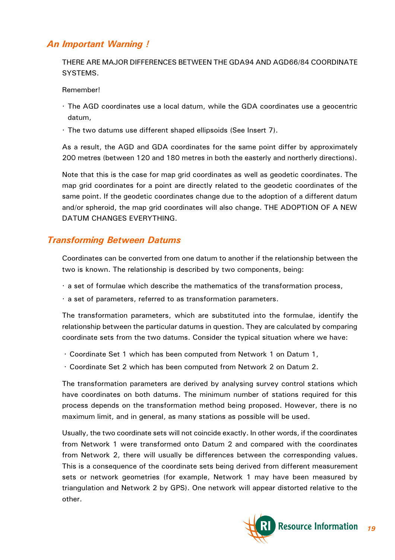## <span id="page-18-0"></span>*An Important Warning !*

THERE ARE MAJOR DIFFERENCES BETWEEN THE GDA94 AND AGD66/84 COORDINATE SYSTEMS.

Remember!

- · The AGD coordinates use a local datum, while the GDA coordinates use a geocentric datum,
- · The two datums use different shaped ellipsoids (See Insert 7).

As a result, the AGD and GDA coordinates for the same point differ by approximately 200 metres (between 120 and 180 metres in both the easterly and northerly directions).

Note that this is the case for map grid coordinates as well as geodetic coordinates. The map grid coordinates for a point are directly related to the geodetic coordinates of the same point. If the geodetic coordinates change due to the adoption of a different datum and/or spheroid, the map grid coordinates will also change. THE ADOPTION OF A NEW DATUM CHANGES EVERYTHING.

#### *Transforming Between Datums*

Coordinates can be converted from one datum to another if the relationship between the two is known. The relationship is described by two components, being:

- · a set of formulae which describe the mathematics of the transformation process,
- · a set of parameters, referred to as transformation parameters.

The transformation parameters, which are substituted into the formulae, identify the relationship between the particular datums in question. They are calculated by comparing coordinate sets from the two datums. Consider the typical situation where we have:

- · Coordinate Set 1 which has been computed from Network 1 on Datum 1,
- · Coordinate Set 2 which has been computed from Network 2 on Datum 2.

The transformation parameters are derived by analysing survey control stations which have coordinates on both datums. The minimum number of stations required for this process depends on the transformation method being proposed. However, there is no maximum limit, and in general, as many stations as possible will be used.

Usually, the two coordinate sets will not coincide exactly. In other words, if the coordinates from Network 1 were transformed onto Datum 2 and compared with the coordinates from Network 2, there will usually be differences between the corresponding values. This is a consequence of the coordinate sets being derived from different measurement sets or network geometries (for example, Network 1 may have been measured by triangulation and Network 2 by GPS). One network will appear distorted relative to the other.

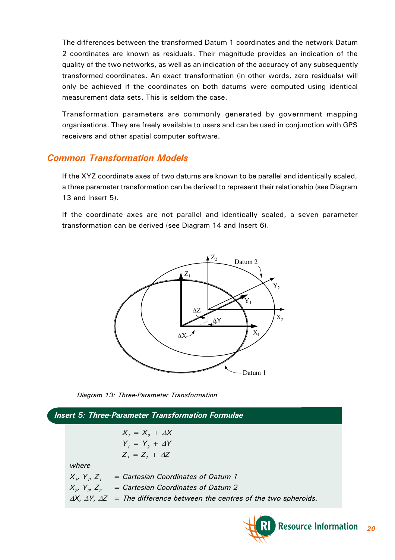<span id="page-19-0"></span>The differences between the transformed Datum 1 coordinates and the network Datum 2 coordinates are known as residuals. Their magnitude provides an indication of the quality of the two networks, as well as an indication of the accuracy of any subsequently transformed coordinates. An exact transformation (in other words, zero residuals) will only be achieved if the coordinates on both datums were computed using identical measurement data sets. This is seldom the case.

Transformation parameters are commonly generated by government mapping organisations. They are freely available to users and can be used in conjunction with GPS receivers and other spatial computer software.

## *Common Transformation Models*

If the XYZ coordinate axes of two datums are known to be parallel and identically scaled, a three parameter transformation can be derived to represent their relationship (see Diagram 13 and Insert 5).

If the coordinate axes are not parallel and identically scaled, a seven parameter transformation can be derived (see Diagram 14 and Insert 6).





*Insert 5: Three-Parameter Transformation Formulae*  $X_i = X_2 + \Delta X$  $Y_i = Y_i + \Delta Y$  $Z_i = Z_i + \Delta Z$ *where X1, Y1, Z<sup>1</sup> = Cartesian Coordinates of Datum 1 X2, Y2, Z<sup>2</sup> = Cartesian Coordinates of Datum 2*  $\Delta X$ ,  $\Delta Y$ ,  $\Delta Z$  = The difference between the centres of the two spheroids.

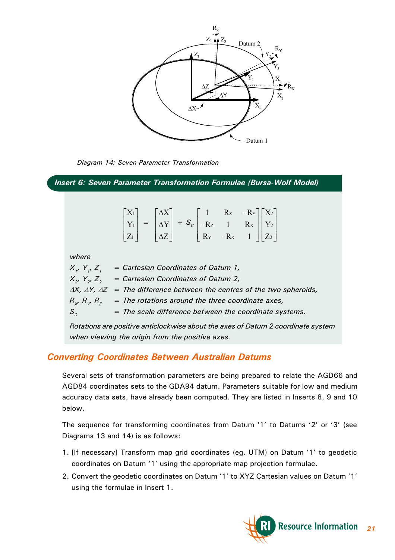<span id="page-20-0"></span>

*Diagram 14: Seven-Parameter Transformation*

*Insert 6: Seven Parameter Transformation Formulae (Bursa-Wolf Model)*

|                       |                                              |            |                                                                                                   | Rz                                         |                                                                                                  |  |
|-----------------------|----------------------------------------------|------------|---------------------------------------------------------------------------------------------------|--------------------------------------------|--------------------------------------------------------------------------------------------------|--|
|                       | $\begin{bmatrix} X_1 \\ Y_1 \end{bmatrix} =$ |            | $\begin{bmatrix} \Delta X \\ \Delta Y \end{bmatrix} + S_c \begin{bmatrix} 1 \\ -Rz \end{bmatrix}$ |                                            | $\begin{bmatrix} -R_Y \\ R_X \\ 1 \end{bmatrix} \begin{bmatrix} X_2 \\ Y_2 \\ Z_2 \end{bmatrix}$ |  |
| $\lfloor Z_1 \rfloor$ |                                              | $\Delta Z$ |                                                                                                   | $\begin{vmatrix} R_Y & -R_X \end{vmatrix}$ |                                                                                                  |  |

*where*

 $X_i$ ,  $Y_i$ ,  $Z_i$  = Cartesian Coordinates of Datum 1,  $X_{2}$ ,  $Y_{2}$ ,  $Z_{2}$  = Cartesian Coordinates of Datum 2,  $\Delta X$ ,  $\Delta Y$ ,  $\Delta Z$  = The difference between the centres of the two spheroids,  $R_{x}$   $R_{y}$   $R_{z}$  = The rotations around the three coordinate axes, *S<sup>C</sup> = The scale difference between the coordinate systems.*

*Rotations are positive anticlockwise about the axes of Datum 2 coordinate system when viewing the origin from the positive axes.*

## *Converting Coordinates Between Australian Datums*

Several sets of transformation parameters are being prepared to relate the AGD66 and AGD84 coordinates sets to the GDA94 datum. Parameters suitable for low and medium accuracy data sets, have already been computed. They are listed in Inserts 8, 9 and 10 below.

The sequence for transforming coordinates from Datum '1' to Datums '2' or '3' (see Diagrams 13 and 14) is as follows:

- 1. [If necessary] Transform map grid coordinates (eg. UTM) on Datum '1' to geodetic coordinates on Datum '1' using the appropriate map projection formulae.
- 2. Convert the geodetic coordinates on Datum '1' to XYZ Cartesian values on Datum '1' using the formulae in Insert 1.

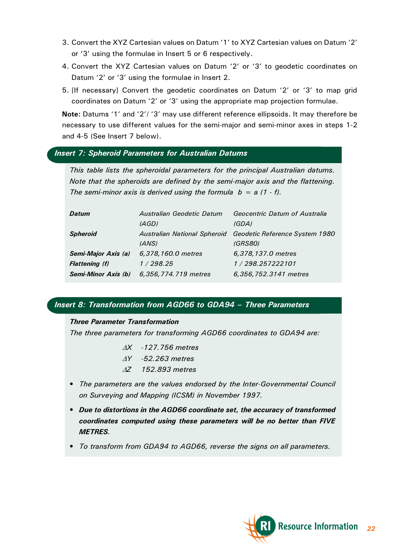- 3. Convert the XYZ Cartesian values on Datum '1' to XYZ Cartesian values on Datum '2' or '3' using the formulae in Insert 5 or 6 respectively.
- 4. Convert the XYZ Cartesian values on Datum '2' or '3' to geodetic coordinates on Datum '2' or '3' using the formulae in Insert 2.
- 5. [If necessary] Convert the geodetic coordinates on Datum '2' or '3' to map grid coordinates on Datum '2' or '3' using the appropriate map projection formulae.

**Note:** Datums '1' and '2'/ '3' may use different reference ellipsoids. It may therefore be necessary to use different values for the semi-major and semi-minor axes in steps 1-2 and 4-5 (See Insert 7 below).

#### *Insert 7: Spheroid Parameters for Australian Datums*

*This table lists the spheroidal parameters for the principal Australian datums. Note that the spheroids are defined by the semi-major axis and the flattening. The semi-minor axis is derived using the formula b = a (1 - f).*

| Datum                 | Australian Geodetic Datum | Geocentric Datum of Australia                               |
|-----------------------|---------------------------|-------------------------------------------------------------|
|                       | (AGD)                     | (GDA)                                                       |
| <b>Spheroid</b>       |                           | Australian National Spheroid Geodetic Reference System 1980 |
|                       | (ANS)                     | <i>(GRS80)</i>                                              |
| Semi-Major Axis (a)   | 6,378,160.0 metres        | 6,378,137.0 metres                                          |
| <b>Flattening (f)</b> | 1/298.25                  | 1/298.257222101                                             |
| Semi-Minor Axis (b)   | 6,356,774.719 metres      | 6,356,752.3141 metres                                       |

#### *Insert 8: Transformation from AGD66 to GDA94 Three Parameters*

#### *Three Parameter Transformation*

*The three parameters for transforming AGD66 coordinates to GDA94 are:*

- D*X -127.756 metres*
- D*Y -52.263 metres*
- D*Z 152.893 metres*
- *The parameters are the values endorsed by the Inter-Governmental Council on Surveying and Mapping (ICSM) in November 1997.*
- *Due to distortions in the AGD66 coordinate set, the accuracy of transformed coordinates computed using these parameters will be no better than FIVE METRES.*
- *To transform from GDA94 to AGD66, reverse the signs on all parameters.*

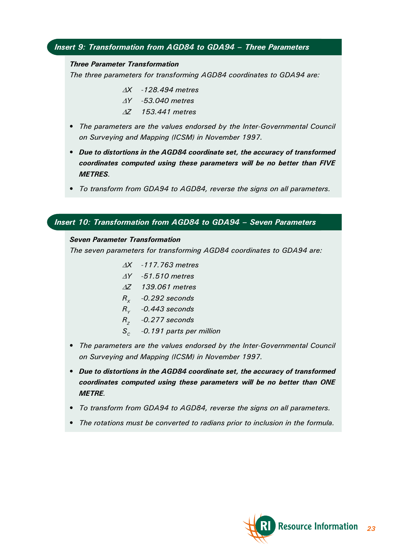#### <span id="page-22-0"></span>*Insert 9: Transformation from AGD84 to GDA94 Three Parameters*

#### *Three Parameter Transformation*

*The three parameters for transforming AGD84 coordinates to GDA94 are:*

- D*X -128.494 metres* D*Y -53.040 metres*
- D*Z 153.441 metres*
- *The parameters are the values endorsed by the Inter-Governmental Council on Surveying and Mapping (ICSM) in November 1997.*
- *Due to distortions in the AGD84 coordinate set, the accuracy of transformed coordinates computed using these parameters will be no better than FIVE METRES.*
- *To transform from GDA94 to AGD84, reverse the signs on all parameters.*

#### *Insert 10: Transformation from AGD84 to GDA94 Seven Parameters*

#### *Seven Parameter Transformation*

*The seven parameters for transforming AGD84 coordinates to GDA94 are:*

- D*X -117.763 metres*
- D*Y -51.510 metres*
- D*Z 139.061 metres*
- *R<sup>X</sup> -0.292 seconds*
- *R<sup>Y</sup> -0.443 seconds*
- *R<sup>Z</sup> -0.277 seconds*
- *S<sup>C</sup> -0.191 parts per million*
- *The parameters are the values endorsed by the Inter-Governmental Council on Surveying and Mapping (ICSM) in November 1997.*
- *Due to distortions in the AGD84 coordinate set, the accuracy of transformed coordinates computed using these parameters will be no better than ONE METRE.*
- *To transform from GDA94 to AGD84, reverse the signs on all parameters.*
- *The rotations must be converted to radians prior to inclusion in the formula.*

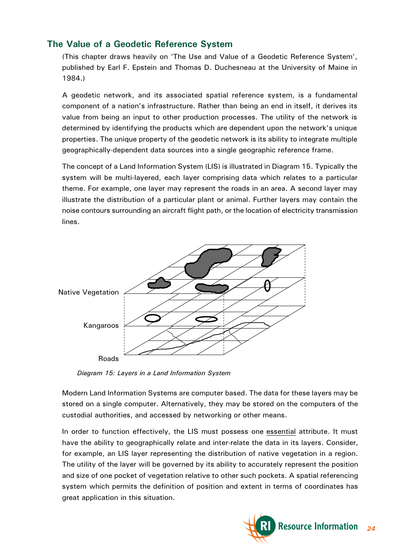## **The Value of a Geodetic Reference System**

(This chapter draws heavily on 'The Use and Value of a Geodetic Reference System', published by Earl F. Epstein and Thomas D. Duchesneau at the University of Maine in 1984.)

A geodetic network, and its associated spatial reference system, is a fundamental component of a nation's infrastructure. Rather than being an end in itself, it derives its value from being an input to other production processes. The utility of the network is determined by identifying the products which are dependent upon the network's unique properties. The unique property of the geodetic network is its ability to integrate multiple geographically-dependent data sources into a single geographic reference frame.

The concept of a Land Information System (LIS) is illustrated in Diagram 15. Typically the system will be multi-layered, each layer comprising data which relates to a particular theme. For example, one layer may represent the roads in an area. A second layer may illustrate the distribution of a particular plant or animal. Further layers may contain the noise contours surrounding an aircraft flight path, or the location of electricity transmission lines.



*Diagram 15: Layers in a Land Information System*

Modern Land Information Systems are computer based. The data for these layers may be stored on a single computer. Alternatively, they may be stored on the computers of the custodial authorities, and accessed by networking or other means.

In order to function effectively, the LIS must possess one essential attribute. It must have the ability to geographically relate and inter-relate the data in its layers. Consider, for example, an LIS layer representing the distribution of native vegetation in a region. The utility of the layer will be governed by its ability to accurately represent the position and size of one pocket of vegetation relative to other such pockets. A spatial referencing system which permits the definition of position and extent in terms of coordinates has great application in this situation.

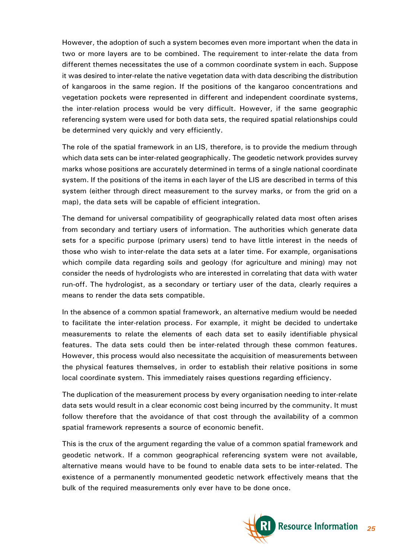However, the adoption of such a system becomes even more important when the data in two or more layers are to be combined. The requirement to inter-relate the data from different themes necessitates the use of a common coordinate system in each. Suppose it was desired to inter-relate the native vegetation data with data describing the distribution of kangaroos in the same region. If the positions of the kangaroo concentrations and vegetation pockets were represented in different and independent coordinate systems, the inter-relation process would be very difficult. However, if the same geographic referencing system were used for both data sets, the required spatial relationships could be determined very quickly and very efficiently.

The role of the spatial framework in an LIS, therefore, is to provide the medium through which data sets can be inter-related geographically. The geodetic network provides survey marks whose positions are accurately determined in terms of a single national coordinate system. If the positions of the items in each layer of the LIS are described in terms of this system (either through direct measurement to the survey marks, or from the grid on a map), the data sets will be capable of efficient integration.

The demand for universal compatibility of geographically related data most often arises from secondary and tertiary users of information. The authorities which generate data sets for a specific purpose (primary users) tend to have little interest in the needs of those who wish to inter-relate the data sets at a later time. For example, organisations which compile data regarding soils and geology (for agriculture and mining) may not consider the needs of hydrologists who are interested in correlating that data with water run-off. The hydrologist, as a secondary or tertiary user of the data, clearly requires a means to render the data sets compatible.

In the absence of a common spatial framework, an alternative medium would be needed to facilitate the inter-relation process. For example, it might be decided to undertake measurements to relate the elements of each data set to easily identifiable physical features. The data sets could then be inter-related through these common features. However, this process would also necessitate the acquisition of measurements between the physical features themselves, in order to establish their relative positions in some local coordinate system. This immediately raises questions regarding efficiency.

The duplication of the measurement process by every organisation needing to inter-relate data sets would result in a clear economic cost being incurred by the community. It must follow therefore that the avoidance of that cost through the availability of a common spatial framework represents a source of economic benefit.

This is the crux of the argument regarding the value of a common spatial framework and geodetic network. If a common geographical referencing system were not available, alternative means would have to be found to enable data sets to be inter-related. The existence of a permanently monumented geodetic network effectively means that the bulk of the required measurements only ever have to be done once.

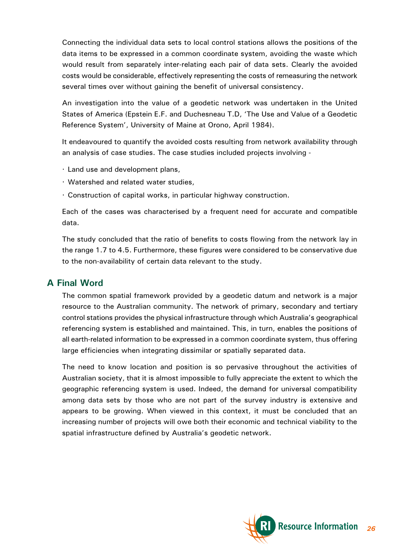<span id="page-25-0"></span>Connecting the individual data sets to local control stations allows the positions of the data items to be expressed in a common coordinate system, avoiding the waste which would result from separately inter-relating each pair of data sets. Clearly the avoided costs would be considerable, effectively representing the costs of remeasuring the network several times over without gaining the benefit of universal consistency.

An investigation into the value of a geodetic network was undertaken in the United States of America (Epstein E.F. and Duchesneau T.D, The Use and Value of a Geodetic Reference System', University of Maine at Orono, April 1984).

It endeavoured to quantify the avoided costs resulting from network availability through an analysis of case studies. The case studies included projects involving -

- · Land use and development plans,
- · Watershed and related water studies,
- · Construction of capital works, in particular highway construction.

Each of the cases was characterised by a frequent need for accurate and compatible data.

The study concluded that the ratio of benefits to costs flowing from the network lay in the range 1.7 to 4.5. Furthermore, these figures were considered to be conservative due to the non-availability of certain data relevant to the study.

#### **A Final Word**

The common spatial framework provided by a geodetic datum and network is a major resource to the Australian community. The network of primary, secondary and tertiary control stations provides the physical infrastructure through which Australia's geographical referencing system is established and maintained. This, in turn, enables the positions of all earth-related information to be expressed in a common coordinate system, thus offering large efficiencies when integrating dissimilar or spatially separated data.

The need to know location and position is so pervasive throughout the activities of Australian society, that it is almost impossible to fully appreciate the extent to which the geographic referencing system is used. Indeed, the demand for universal compatibility among data sets by those who are not part of the survey industry is extensive and appears to be growing. When viewed in this context, it must be concluded that an increasing number of projects will owe both their economic and technical viability to the spatial infrastructure defined by Australia's geodetic network.